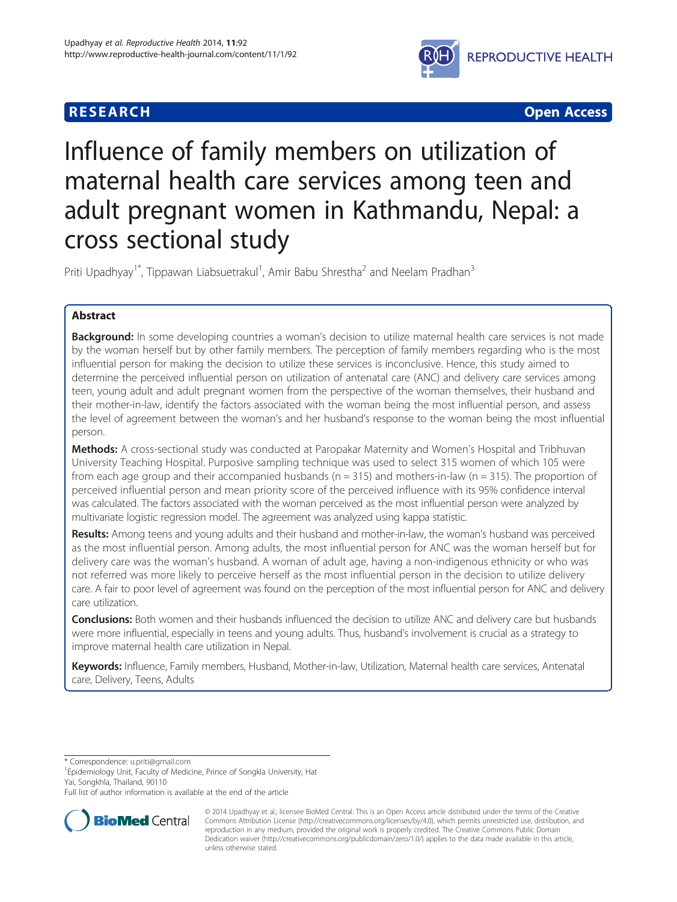# **RESEARCH CHEAR CHEAR CHEAR CHEAR CHEAR CHEAR CHEAR CHEAR CHEAR CHEAR CHEAR CHEAR CHEAR CHEAR CHEAR CHEAR CHEAR**



# Influence of family members on utilization of maternal health care services among teen and adult pregnant women in Kathmandu, Nepal: a cross sectional study

Priti Upadhyay<sup>1\*</sup>, Tippawan Liabsuetrakul<sup>1</sup>, Amir Babu Shrestha<sup>2</sup> and Neelam Pradhan<sup>3</sup>

# Abstract

**Background:** In some developing countries a woman's decision to utilize maternal health care services is not made by the woman herself but by other family members. The perception of family members regarding who is the most influential person for making the decision to utilize these services is inconclusive. Hence, this study aimed to determine the perceived influential person on utilization of antenatal care (ANC) and delivery care services among teen, young adult and adult pregnant women from the perspective of the woman themselves, their husband and their mother-in-law, identify the factors associated with the woman being the most influential person, and assess the level of agreement between the woman's and her husband's response to the woman being the most influential person.

Methods: A cross-sectional study was conducted at Paropakar Maternity and Women's Hospital and Tribhuvan University Teaching Hospital. Purposive sampling technique was used to select 315 women of which 105 were from each age group and their accompanied husbands ( $n = 315$ ) and mothers-in-law ( $n = 315$ ). The proportion of perceived influential person and mean priority score of the perceived influence with its 95% confidence interval was calculated. The factors associated with the woman perceived as the most influential person were analyzed by multivariate logistic regression model. The agreement was analyzed using kappa statistic.

Results: Among teens and young adults and their husband and mother-in-law, the woman's husband was perceived as the most influential person. Among adults, the most influential person for ANC was the woman herself but for delivery care was the woman's husband. A woman of adult age, having a non-indigenous ethnicity or who was not referred was more likely to perceive herself as the most influential person in the decision to utilize delivery care. A fair to poor level of agreement was found on the perception of the most influential person for ANC and delivery care utilization.

Conclusions: Both women and their husbands influenced the decision to utilize ANC and delivery care but husbands were more influential, especially in teens and young adults. Thus, husband's involvement is crucial as a strategy to improve maternal health care utilization in Nepal.

Keywords: Influence, Family members, Husband, Mother-in-law, Utilization, Maternal health care services, Antenatal care, Delivery, Teens, Adults

\* Correspondence: [u.priti@gmail.com](mailto:u.priti@gmail.com) <sup>1</sup>

<sup>1</sup> Epidemiology Unit, Faculty of Medicine, Prince of Songkla University, Hat Yai, Songkhla, Thailand, 90110

Full list of author information is available at the end of the article



<sup>© 2014</sup> Upadhyay et al.; licensee BioMed Central. This is an Open Access article distributed under the terms of the Creative Commons Attribution License [\(http://creativecommons.org/licenses/by/4.0\)](http://creativecommons.org/licenses/by/4.0), which permits unrestricted use, distribution, and reproduction in any medium, provided the original work is properly credited. The Creative Commons Public Domain Dedication waiver [\(http://creativecommons.org/publicdomain/zero/1.0/](http://creativecommons.org/publicdomain/zero/1.0/)) applies to the data made available in this article, unless otherwise stated.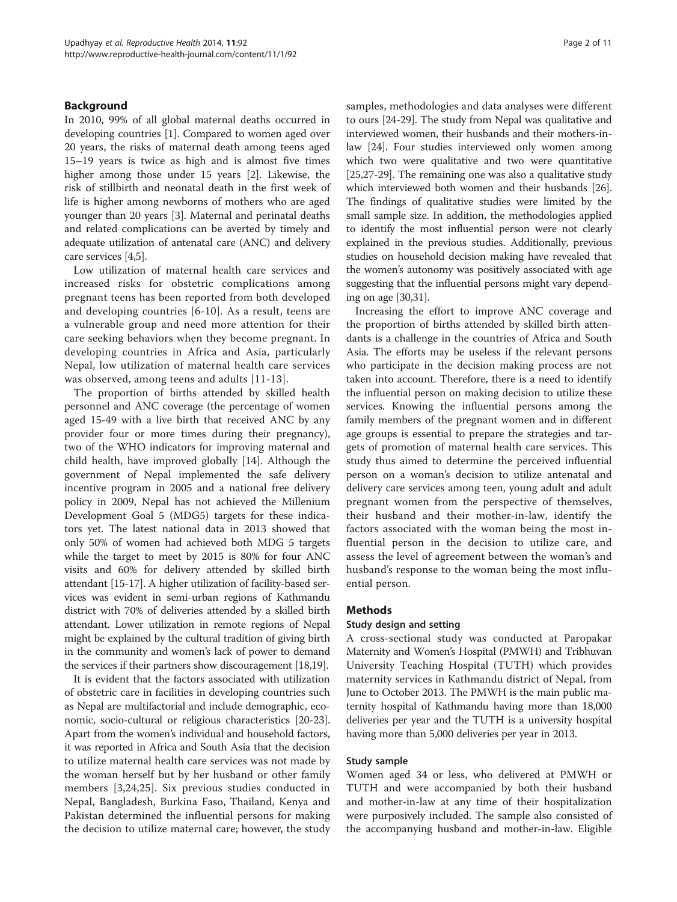# Background

In 2010, 99% of all global maternal deaths occurred in developing countries [[1\]](#page-9-0). Compared to women aged over 20 years, the risks of maternal death among teens aged 15–19 years is twice as high and is almost five times higher among those under 15 years [\[2](#page-9-0)]. Likewise, the risk of stillbirth and neonatal death in the first week of life is higher among newborns of mothers who are aged younger than 20 years [[3\]](#page-9-0). Maternal and perinatal deaths and related complications can be averted by timely and adequate utilization of antenatal care (ANC) and delivery care services [[4,5](#page-9-0)].

Low utilization of maternal health care services and increased risks for obstetric complications among pregnant teens has been reported from both developed and developing countries [\[6-10\]](#page-9-0). As a result, teens are a vulnerable group and need more attention for their care seeking behaviors when they become pregnant. In developing countries in Africa and Asia, particularly Nepal, low utilization of maternal health care services was observed, among teens and adults [[11](#page-9-0)-[13](#page-9-0)].

The proportion of births attended by skilled health personnel and ANC coverage (the percentage of women aged 15-49 with a live birth that received ANC by any provider four or more times during their pregnancy), two of the WHO indicators for improving maternal and child health, have improved globally [\[14\]](#page-9-0). Although the government of Nepal implemented the safe delivery incentive program in 2005 and a national free delivery policy in 2009, Nepal has not achieved the Millenium Development Goal 5 (MDG5) targets for these indicators yet. The latest national data in 2013 showed that only 50% of women had achieved both MDG 5 targets while the target to meet by 2015 is 80% for four ANC visits and 60% for delivery attended by skilled birth attendant [\[15-17\]](#page-9-0). A higher utilization of facility-based services was evident in semi-urban regions of Kathmandu district with 70% of deliveries attended by a skilled birth attendant. Lower utilization in remote regions of Nepal might be explained by the cultural tradition of giving birth in the community and women's lack of power to demand the services if their partners show discouragement [[18,19](#page-9-0)].

It is evident that the factors associated with utilization of obstetric care in facilities in developing countries such as Nepal are multifactorial and include demographic, economic, socio-cultural or religious characteristics [[20](#page-9-0)-[23](#page-9-0)]. Apart from the women's individual and household factors, it was reported in Africa and South Asia that the decision to utilize maternal health care services was not made by the woman herself but by her husband or other family members [[3,24](#page-9-0),[25\]](#page-9-0). Six previous studies conducted in Nepal, Bangladesh, Burkina Faso, Thailand, Kenya and Pakistan determined the influential persons for making the decision to utilize maternal care; however, the study samples, methodologies and data analyses were different to ours [\[24-29](#page-9-0)]. The study from Nepal was qualitative and interviewed women, their husbands and their mothers-inlaw [\[24](#page-9-0)]. Four studies interviewed only women among which two were qualitative and two were quantitative [[25,27](#page-9-0)-[29](#page-9-0)]. The remaining one was also a qualitative study which interviewed both women and their husbands [[26](#page-9-0)]. The findings of qualitative studies were limited by the small sample size. In addition, the methodologies applied to identify the most influential person were not clearly explained in the previous studies. Additionally, previous studies on household decision making have revealed that the women's autonomy was positively associated with age suggesting that the influential persons might vary depending on age [[30,31\]](#page-9-0).

Increasing the effort to improve ANC coverage and the proportion of births attended by skilled birth attendants is a challenge in the countries of Africa and South Asia. The efforts may be useless if the relevant persons who participate in the decision making process are not taken into account. Therefore, there is a need to identify the influential person on making decision to utilize these services. Knowing the influential persons among the family members of the pregnant women and in different age groups is essential to prepare the strategies and targets of promotion of maternal health care services. This study thus aimed to determine the perceived influential person on a woman's decision to utilize antenatal and delivery care services among teen, young adult and adult pregnant women from the perspective of themselves, their husband and their mother-in-law, identify the factors associated with the woman being the most influential person in the decision to utilize care, and assess the level of agreement between the woman's and husband's response to the woman being the most influential person.

#### Methods

#### Study design and setting

A cross-sectional study was conducted at Paropakar Maternity and Women's Hospital (PMWH) and Tribhuvan University Teaching Hospital (TUTH) which provides maternity services in Kathmandu district of Nepal, from June to October 2013. The PMWH is the main public maternity hospital of Kathmandu having more than 18,000 deliveries per year and the TUTH is a university hospital having more than 5,000 deliveries per year in 2013.

#### Study sample

Women aged 34 or less, who delivered at PMWH or TUTH and were accompanied by both their husband and mother-in-law at any time of their hospitalization were purposively included. The sample also consisted of the accompanying husband and mother-in-law. Eligible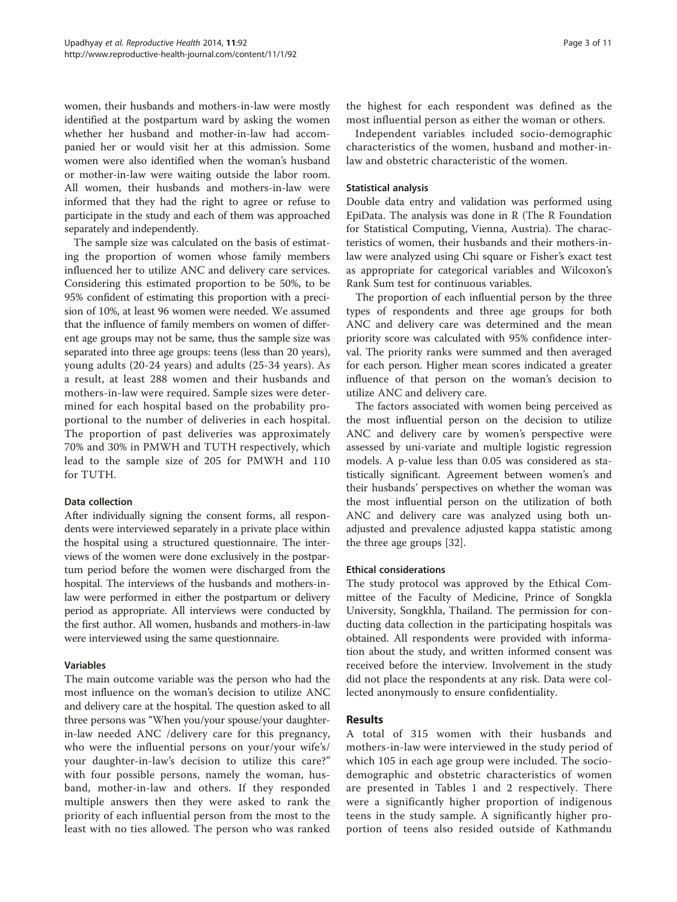women, their husbands and mothers-in-law were mostly identified at the postpartum ward by asking the women whether her husband and mother-in-law had accompanied her or would visit her at this admission. Some women were also identified when the woman's husband or mother-in-law were waiting outside the labor room. All women, their husbands and mothers-in-law were informed that they had the right to agree or refuse to participate in the study and each of them was approached separately and independently.

The sample size was calculated on the basis of estimating the proportion of women whose family members influenced her to utilize ANC and delivery care services. Considering this estimated proportion to be 50%, to be 95% confident of estimating this proportion with a precision of 10%, at least 96 women were needed. We assumed that the influence of family members on women of different age groups may not be same, thus the sample size was separated into three age groups: teens (less than 20 years), young adults (20-24 years) and adults (25-34 years). As a result, at least 288 women and their husbands and mothers-in-law were required. Sample sizes were determined for each hospital based on the probability proportional to the number of deliveries in each hospital. The proportion of past deliveries was approximately 70% and 30% in PMWH and TUTH respectively, which lead to the sample size of 205 for PMWH and 110 for TUTH.

# Data collection

After individually signing the consent forms, all respondents were interviewed separately in a private place within the hospital using a structured questionnaire. The interviews of the women were done exclusively in the postpartum period before the women were discharged from the hospital. The interviews of the husbands and mothers-inlaw were performed in either the postpartum or delivery period as appropriate. All interviews were conducted by the first author. All women, husbands and mothers-in-law were interviewed using the same questionnaire.

# Variables

The main outcome variable was the person who had the most influence on the woman's decision to utilize ANC and delivery care at the hospital. The question asked to all three persons was "When you/your spouse/your daughterin-law needed ANC /delivery care for this pregnancy, who were the influential persons on your/your wife's/ your daughter-in-law's decision to utilize this care?" with four possible persons, namely the woman, husband, mother-in-law and others. If they responded multiple answers then they were asked to rank the priority of each influential person from the most to the least with no ties allowed. The person who was ranked the highest for each respondent was defined as the most influential person as either the woman or others.

Independent variables included socio-demographic characteristics of the women, husband and mother-inlaw and obstetric characteristic of the women.

# Statistical analysis

Double data entry and validation was performed using EpiData. The analysis was done in R (The R Foundation for Statistical Computing, Vienna, Austria). The characteristics of women, their husbands and their mothers-inlaw were analyzed using Chi square or Fisher's exact test as appropriate for categorical variables and Wilcoxon's Rank Sum test for continuous variables.

The proportion of each influential person by the three types of respondents and three age groups for both ANC and delivery care was determined and the mean priority score was calculated with 95% confidence interval. The priority ranks were summed and then averaged for each person. Higher mean scores indicated a greater influence of that person on the woman's decision to utilize ANC and delivery care.

The factors associated with women being perceived as the most influential person on the decision to utilize ANC and delivery care by women's perspective were assessed by uni-variate and multiple logistic regression models. A p-value less than 0.05 was considered as statistically significant. Agreement between women's and their husbands' perspectives on whether the woman was the most influential person on the utilization of both ANC and delivery care was analyzed using both unadjusted and prevalence adjusted kappa statistic among the three age groups [[32\]](#page-9-0).

#### Ethical considerations

The study protocol was approved by the Ethical Committee of the Faculty of Medicine, Prince of Songkla University, Songkhla, Thailand. The permission for conducting data collection in the participating hospitals was obtained. All respondents were provided with information about the study, and written informed consent was received before the interview. Involvement in the study did not place the respondents at any risk. Data were collected anonymously to ensure confidentiality.

# Results

A total of 315 women with their husbands and mothers-in-law were interviewed in the study period of which 105 in each age group were included. The sociodemographic and obstetric characteristics of women are presented in Tables [1](#page-3-0) and [2](#page-4-0) respectively. There were a significantly higher proportion of indigenous teens in the study sample. A significantly higher proportion of teens also resided outside of Kathmandu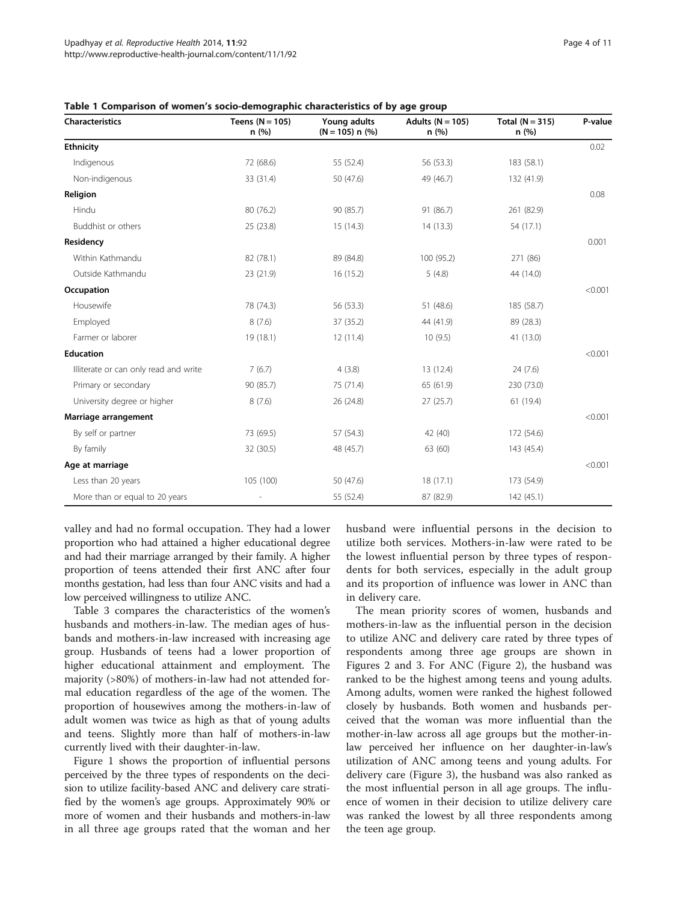| Characteristics                       | Teens $(N = 105)$<br>n(%) | Young adults<br>$(N = 105)$ n $(\%)$ | Adults ( $N = 105$ )<br>n(%) | Total $(N = 315)$<br>n(%) | P-value |
|---------------------------------------|---------------------------|--------------------------------------|------------------------------|---------------------------|---------|
| <b>Ethnicity</b>                      |                           |                                      |                              |                           | 0.02    |
| Indigenous                            | 72 (68.6)                 | 55 (52.4)                            | 56 (53.3)                    | 183 (58.1)                |         |
| Non-indigenous                        | 33 (31.4)                 | 50 (47.6)                            | 49 (46.7)                    | 132 (41.9)                |         |
| Religion                              |                           |                                      |                              |                           | 0.08    |
| Hindu                                 | 80 (76.2)                 | 90 (85.7)                            | 91 (86.7)                    | 261 (82.9)                |         |
| Buddhist or others                    | 25 (23.8)                 | 15(14.3)                             | 14(13.3)                     | 54 (17.1)                 |         |
| Residency                             |                           |                                      |                              |                           | 0.001   |
| Within Kathmandu                      | 82 (78.1)                 | 89 (84.8)                            | 100 (95.2)                   | 271 (86)                  |         |
| Outside Kathmandu                     | 23 (21.9)                 | 16 (15.2)                            | 5(4.8)                       | 44 (14.0)                 |         |
| Occupation                            |                           |                                      |                              |                           | < 0.001 |
| Housewife                             | 78 (74.3)                 | 56 (53.3)                            | 51 (48.6)                    | 185 (58.7)                |         |
| Employed                              | 8(7.6)                    | 37 (35.2)                            | 44 (41.9)                    | 89 (28.3)                 |         |
| Farmer or laborer                     | 19 (18.1)                 | 12 (11.4)                            | 10(9.5)                      | 41 (13.0)                 |         |
| <b>Education</b>                      |                           |                                      |                              |                           | < 0.001 |
| Illiterate or can only read and write | 7(6.7)                    | 4(3.8)                               | 13 (12.4)                    | 24(7.6)                   |         |
| Primary or secondary                  | 90 (85.7)                 | 75 (71.4)                            | 65 (61.9)                    | 230 (73.0)                |         |
| University degree or higher           | 8(7.6)                    | 26 (24.8)                            | 27(25.7)                     | 61 (19.4)                 |         |
| Marriage arrangement                  |                           |                                      |                              |                           | < 0.001 |
| By self or partner                    | 73 (69.5)                 | 57 (54.3)                            | 42 (40)                      | 172 (54.6)                |         |
| By family                             | 32 (30.5)                 | 48 (45.7)                            | 63 (60)                      | 143 (45.4)                |         |
| Age at marriage                       |                           |                                      |                              |                           | < 0.001 |
| Less than 20 years                    | 105 (100)                 | 50 (47.6)                            | 18(17.1)                     | 173 (54.9)                |         |
| More than or equal to 20 years        |                           | 55 (52.4)                            | 87 (82.9)                    | 142 (45.1)                |         |

<span id="page-3-0"></span>Table 1 Comparison of women's socio-demographic characteristics of by age group

valley and had no formal occupation. They had a lower proportion who had attained a higher educational degree and had their marriage arranged by their family. A higher proportion of teens attended their first ANC after four months gestation, had less than four ANC visits and had a low perceived willingness to utilize ANC.

Table [3](#page-5-0) compares the characteristics of the women's husbands and mothers-in-law. The median ages of husbands and mothers-in-law increased with increasing age group. Husbands of teens had a lower proportion of higher educational attainment and employment. The majority (>80%) of mothers-in-law had not attended formal education regardless of the age of the women. The proportion of housewives among the mothers-in-law of adult women was twice as high as that of young adults and teens. Slightly more than half of mothers-in-law currently lived with their daughter-in-law.

Figure [1](#page-6-0) shows the proportion of influential persons perceived by the three types of respondents on the decision to utilize facility-based ANC and delivery care stratified by the women's age groups. Approximately 90% or more of women and their husbands and mothers-in-law in all three age groups rated that the woman and her husband were influential persons in the decision to utilize both services. Mothers-in-law were rated to be the lowest influential person by three types of respondents for both services, especially in the adult group and its proportion of influence was lower in ANC than in delivery care.

The mean priority scores of women, husbands and mothers-in-law as the influential person in the decision to utilize ANC and delivery care rated by three types of respondents among three age groups are shown in Figures [2](#page-6-0) and [3](#page-7-0). For ANC (Figure [2\)](#page-6-0), the husband was ranked to be the highest among teens and young adults. Among adults, women were ranked the highest followed closely by husbands. Both women and husbands perceived that the woman was more influential than the mother-in-law across all age groups but the mother-inlaw perceived her influence on her daughter-in-law's utilization of ANC among teens and young adults. For delivery care (Figure [3\)](#page-7-0), the husband was also ranked as the most influential person in all age groups. The influence of women in their decision to utilize delivery care was ranked the lowest by all three respondents among the teen age group.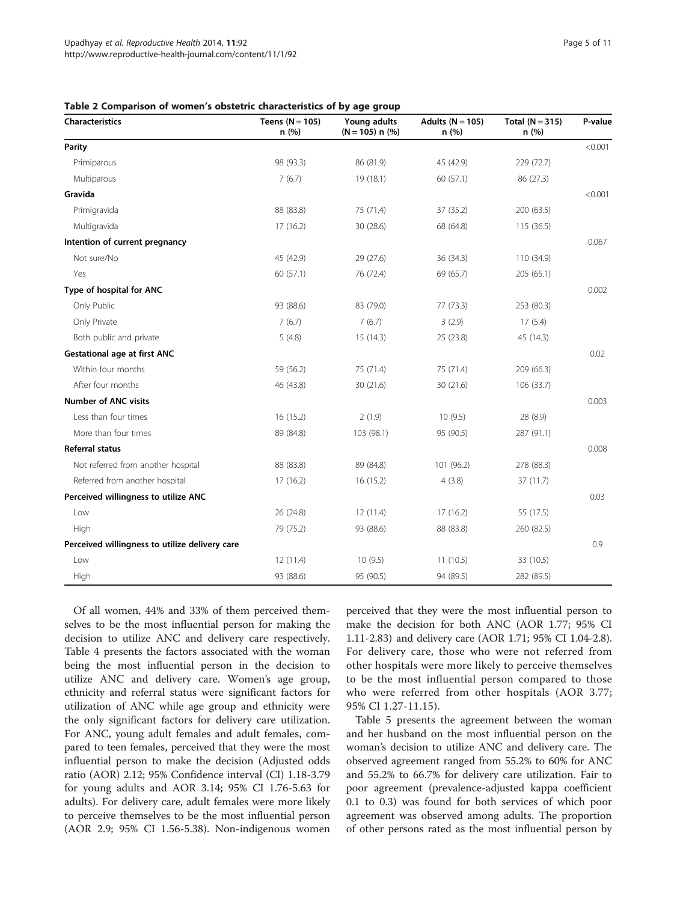#### <span id="page-4-0"></span>Table 2 Comparison of women's obstetric characteristics of by age group

| <b>Characteristics</b>                         | Teens ( $N = 105$ )<br>n(%) | Young adults<br>$(N = 105)$ n $(\%)$ | Adults ( $N = 105$ )<br>n(%) | Total $(N = 315)$<br>n (%) | P-value |
|------------------------------------------------|-----------------------------|--------------------------------------|------------------------------|----------------------------|---------|
| Parity                                         |                             |                                      |                              |                            | < 0.001 |
| Primiparous                                    | 98 (93.3)                   | 86 (81.9)                            | 45 (42.9)                    | 229 (72.7)                 |         |
| Multiparous                                    | 7(6.7)                      | 19 (18.1)                            | 60 (57.1)                    | 86 (27.3)                  |         |
| Gravida                                        |                             |                                      |                              |                            | < 0.001 |
| Primigravida                                   | 88 (83.8)                   | 75 (71.4)                            | 37 (35.2)                    | 200 (63.5)                 |         |
| Multigravida                                   | 17(16.2)                    | 30 (28.6)                            | 68 (64.8)                    | 115 (36.5)                 |         |
| Intention of current pregnancy                 |                             |                                      |                              |                            | 0.067   |
| Not sure/No                                    | 45 (42.9)                   | 29 (27.6)                            | 36 (34.3)                    | 110 (34.9)                 |         |
| Yes                                            | 60 (57.1)                   | 76 (72.4)                            | 69 (65.7)                    | 205 (65.1)                 |         |
| Type of hospital for ANC                       |                             |                                      |                              |                            | 0.002   |
| Only Public                                    | 93 (88.6)                   | 83 (79.0)                            | 77 (73.3)                    | 253 (80.3)                 |         |
| Only Private                                   | 7(6.7)                      | 7(6.7)                               | 3(2.9)                       | 17(5.4)                    |         |
| Both public and private                        | 5(4.8)                      | 15 (14.3)                            | 25 (23.8)                    | 45 (14.3)                  |         |
| <b>Gestational age at first ANC</b>            |                             |                                      |                              |                            | 0.02    |
| Within four months                             | 59 (56.2)                   | 75 (71.4)                            | 75 (71.4)                    | 209 (66.3)                 |         |
| After four months                              | 46 (43.8)                   | 30 (21.6)                            | 30(21.6)                     | 106 (33.7)                 |         |
| <b>Number of ANC visits</b>                    |                             |                                      |                              |                            | 0.003   |
| Less than four times                           | 16(15.2)                    | 2(1.9)                               | 10(9.5)                      | 28 (8.9)                   |         |
| More than four times                           | 89 (84.8)                   | 103 (98.1)                           | 95 (90.5)                    | 287 (91.1)                 |         |
| <b>Referral status</b>                         |                             |                                      |                              |                            | 0.008   |
| Not referred from another hospital             | 88 (83.8)                   | 89 (84.8)                            | 101 (96.2)                   | 278 (88.3)                 |         |
| Referred from another hospital                 | 17(16.2)                    | 16(15.2)                             | 4(3.8)                       | 37(11.7)                   |         |
| Perceived willingness to utilize ANC           |                             |                                      |                              |                            | 0.03    |
| Low                                            | 26 (24.8)                   | 12(11.4)                             | 17(16.2)                     | 55 (17.5)                  |         |
| High                                           | 79 (75.2)                   | 93 (88.6)                            | 88 (83.8)                    | 260 (82.5)                 |         |
| Perceived willingness to utilize delivery care |                             |                                      |                              |                            | 0.9     |
| Low                                            | 12(11.4)                    | 10(9.5)                              | 11(10.5)                     | 33 (10.5)                  |         |
| High                                           | 93 (88.6)                   | 95 (90.5)                            | 94 (89.5)                    | 282 (89.5)                 |         |

Of all women, 44% and 33% of them perceived themselves to be the most influential person for making the decision to utilize ANC and delivery care respectively. Table [4](#page-7-0) presents the factors associated with the woman being the most influential person in the decision to utilize ANC and delivery care. Women's age group, ethnicity and referral status were significant factors for utilization of ANC while age group and ethnicity were the only significant factors for delivery care utilization. For ANC, young adult females and adult females, compared to teen females, perceived that they were the most influential person to make the decision (Adjusted odds ratio (AOR) 2.12; 95% Confidence interval (CI) 1.18-3.79 for young adults and AOR 3.14; 95% CI 1.76-5.63 for adults). For delivery care, adult females were more likely to perceive themselves to be the most influential person (AOR 2.9; 95% CI 1.56-5.38). Non-indigenous women perceived that they were the most influential person to make the decision for both ANC (AOR 1.77; 95% CI 1.11-2.83) and delivery care (AOR 1.71; 95% CI 1.04-2.8). For delivery care, those who were not referred from other hospitals were more likely to perceive themselves to be the most influential person compared to those who were referred from other hospitals (AOR 3.77; 95% CI 1.27-11.15).

Table [5](#page-8-0) presents the agreement between the woman and her husband on the most influential person on the woman's decision to utilize ANC and delivery care. The observed agreement ranged from 55.2% to 60% for ANC and 55.2% to 66.7% for delivery care utilization. Fair to poor agreement (prevalence-adjusted kappa coefficient 0.1 to 0.3) was found for both services of which poor agreement was observed among adults. The proportion of other persons rated as the most influential person by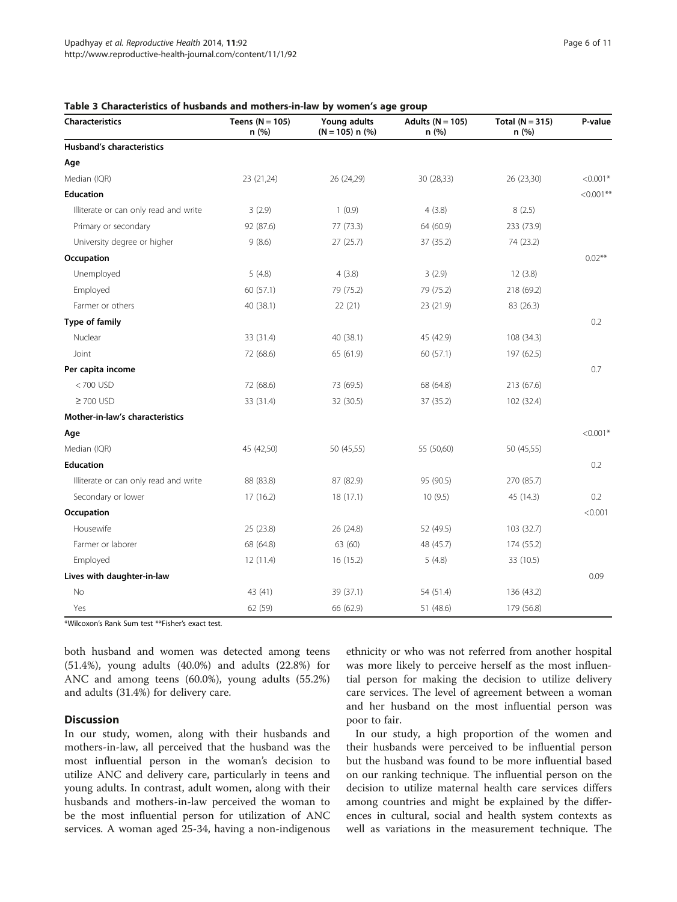| <b>Characteristics</b>                | Teens $(N = 105)$<br>n(%) | Young adults<br>$(N = 105)$ n $(\%)$ | Adults ( $N = 105$ )<br>n(%) | Total $(N = 315)$<br>n (%) | P-value     |
|---------------------------------------|---------------------------|--------------------------------------|------------------------------|----------------------------|-------------|
| Husband's characteristics             |                           |                                      |                              |                            |             |
| Age                                   |                           |                                      |                              |                            |             |
| Median (IQR)                          | 23 (21,24)                | 26 (24,29)                           | 30 (28,33)                   | 26 (23,30)                 | $< 0.001*$  |
| <b>Education</b>                      |                           |                                      |                              |                            | $< 0.001**$ |
| Illiterate or can only read and write | 3(2.9)                    | 1(0.9)                               | 4(3.8)                       | 8(2.5)                     |             |
| Primary or secondary                  | 92 (87.6)                 | 77 (73.3)                            | 64 (60.9)                    | 233 (73.9)                 |             |
| University degree or higher           | 9(8.6)                    | 27(25.7)                             | 37 (35.2)                    | 74 (23.2)                  |             |
| Occupation                            |                           |                                      |                              |                            | $0.02**$    |
| Unemployed                            | 5(4.8)                    | 4(3.8)                               | 3(2.9)                       | 12(3.8)                    |             |
| Employed                              | 60 (57.1)                 | 79 (75.2)                            | 79 (75.2)                    | 218 (69.2)                 |             |
| Farmer or others                      | 40 (38.1)                 | 22(21)                               | 23 (21.9)                    | 83 (26.3)                  |             |
| Type of family                        |                           |                                      |                              |                            | 0.2         |
| Nuclear                               | 33 (31.4)                 | 40 (38.1)                            | 45 (42.9)                    | 108 (34.3)                 |             |
| Joint                                 | 72 (68.6)                 | 65 (61.9)                            | 60 (57.1)                    | 197 (62.5)                 |             |
| Per capita income                     |                           |                                      |                              |                            | 0.7         |
| $< 700$ USD                           | 72 (68.6)                 | 73 (69.5)                            | 68 (64.8)                    | 213 (67.6)                 |             |
| $\geq$ 700 USD                        | 33 (31.4)                 | 32 (30.5)                            | 37 (35.2)                    | 102 (32.4)                 |             |
| Mother-in-law's characteristics       |                           |                                      |                              |                            |             |
| Age                                   |                           |                                      |                              |                            | $< 0.001*$  |
| Median (IQR)                          | 45 (42,50)                | 50 (45,55)                           | 55 (50,60)                   | 50 (45,55)                 |             |
| <b>Education</b>                      |                           |                                      |                              |                            | 0.2         |
| Illiterate or can only read and write | 88 (83.8)                 | 87 (82.9)                            | 95 (90.5)                    | 270 (85.7)                 |             |
| Secondary or lower                    | 17 (16.2)                 | 18(17.1)                             | 10(9.5)                      | 45 (14.3)                  | 0.2         |
| Occupation                            |                           |                                      |                              |                            | < 0.001     |
| Housewife                             | 25(23.8)                  | 26 (24.8)                            | 52 (49.5)                    | 103 (32.7)                 |             |
| Farmer or laborer                     | 68 (64.8)                 | 63 (60)                              | 48 (45.7)                    | 174 (55.2)                 |             |
| Employed                              | 12 (11.4)                 | 16(15.2)                             | 5(4.8)                       | 33 (10.5)                  |             |
| Lives with daughter-in-law            |                           |                                      |                              |                            | 0.09        |
| No                                    | 43 (41)                   | 39 (37.1)                            | 54 (51.4)                    | 136 (43.2)                 |             |
| Yes                                   | 62 (59)                   | 66 (62.9)                            | 51 (48.6)                    | 179 (56.8)                 |             |

<span id="page-5-0"></span>

| Table 3 Characteristics of husbands and mothers-in-law by women's age group |  |  |  |
|-----------------------------------------------------------------------------|--|--|--|
|-----------------------------------------------------------------------------|--|--|--|

\*Wilcoxon's Rank Sum test \*\*Fisher's exact test.

both husband and women was detected among teens (51.4%), young adults (40.0%) and adults (22.8%) for ANC and among teens (60.0%), young adults (55.2%) and adults (31.4%) for delivery care.

## **Discussion**

In our study, women, along with their husbands and mothers-in-law, all perceived that the husband was the most influential person in the woman's decision to utilize ANC and delivery care, particularly in teens and young adults. In contrast, adult women, along with their husbands and mothers-in-law perceived the woman to be the most influential person for utilization of ANC services. A woman aged 25-34, having a non-indigenous

ethnicity or who was not referred from another hospital was more likely to perceive herself as the most influential person for making the decision to utilize delivery care services. The level of agreement between a woman and her husband on the most influential person was poor to fair.

In our study, a high proportion of the women and their husbands were perceived to be influential person but the husband was found to be more influential based on our ranking technique. The influential person on the decision to utilize maternal health care services differs among countries and might be explained by the differences in cultural, social and health system contexts as well as variations in the measurement technique. The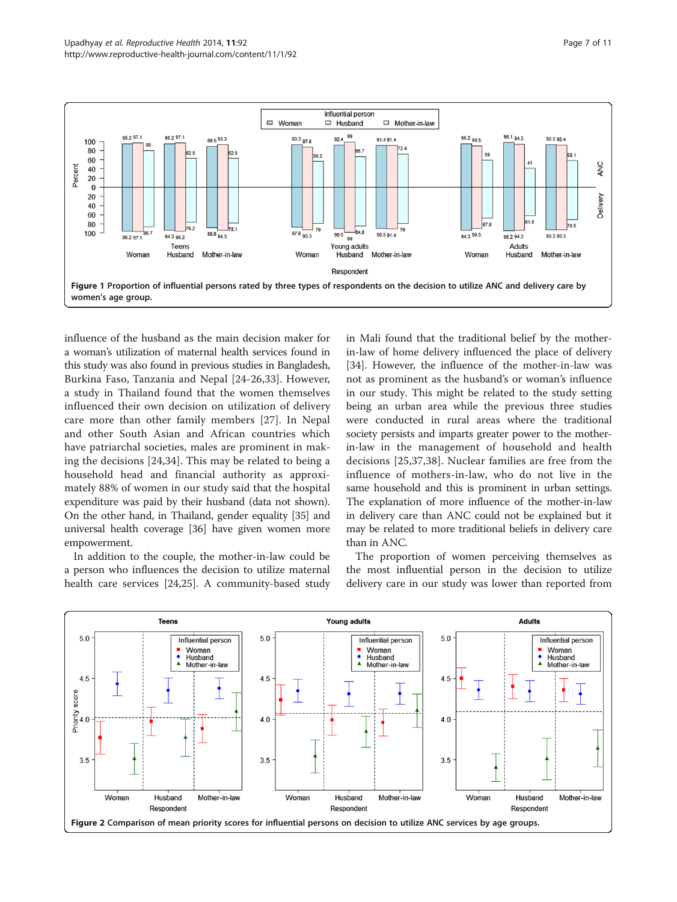<span id="page-6-0"></span>

influence of the husband as the main decision maker for a woman's utilization of maternal health services found in this study was also found in previous studies in Bangladesh, Burkina Faso, Tanzania and Nepal [[24](#page-9-0)-[26,33\]](#page-9-0). However, a study in Thailand found that the women themselves influenced their own decision on utilization of delivery care more than other family members [\[27](#page-9-0)]. In Nepal and other South Asian and African countries which have patriarchal societies, males are prominent in making the decisions [[24,34](#page-9-0)]. This may be related to being a household head and financial authority as approximately 88% of women in our study said that the hospital expenditure was paid by their husband (data not shown). On the other hand, in Thailand, gender equality [[35](#page-9-0)] and universal health coverage [\[36\]](#page-9-0) have given women more empowerment.

In addition to the couple, the mother-in-law could be a person who influences the decision to utilize maternal health care services [[24,25](#page-9-0)]. A community-based study in Mali found that the traditional belief by the motherin-law of home delivery influenced the place of delivery [[34\]](#page-9-0). However, the influence of the mother-in-law was not as prominent as the husband's or woman's influence in our study. This might be related to the study setting being an urban area while the previous three studies were conducted in rural areas where the traditional society persists and imparts greater power to the motherin-law in the management of household and health decisions [[25,37,38\]](#page-9-0). Nuclear families are free from the influence of mothers-in-law, who do not live in the same household and this is prominent in urban settings. The explanation of more influence of the mother-in-law in delivery care than ANC could not be explained but it may be related to more traditional beliefs in delivery care than in ANC.

The proportion of women perceiving themselves as the most influential person in the decision to utilize delivery care in our study was lower than reported from

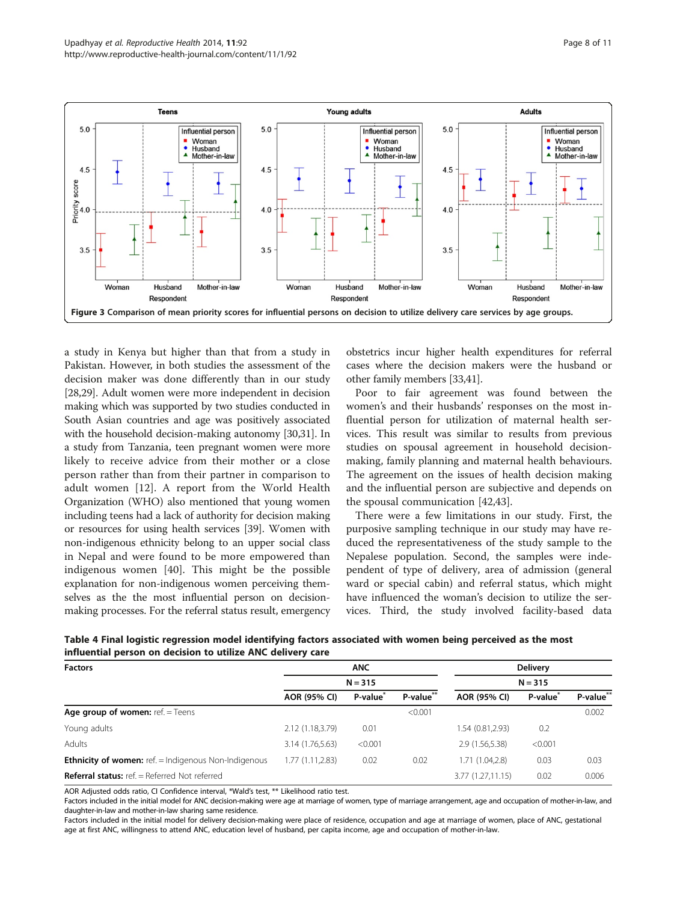<span id="page-7-0"></span>

a study in Kenya but higher than that from a study in Pakistan. However, in both studies the assessment of the decision maker was done differently than in our study [[28,29](#page-9-0)]. Adult women were more independent in decision making which was supported by two studies conducted in South Asian countries and age was positively associated with the household decision-making autonomy [[30,31\]](#page-9-0). In a study from Tanzania, teen pregnant women were more likely to receive advice from their mother or a close person rather than from their partner in comparison to adult women [\[12](#page-9-0)]. A report from the World Health Organization (WHO) also mentioned that young women including teens had a lack of authority for decision making or resources for using health services [[39](#page-9-0)]. Women with non-indigenous ethnicity belong to an upper social class in Nepal and were found to be more empowered than indigenous women [\[40](#page-9-0)]. This might be the possible explanation for non-indigenous women perceiving themselves as the the most influential person on decisionmaking processes. For the referral status result, emergency

obstetrics incur higher health expenditures for referral cases where the decision makers were the husband or other family members [\[33,](#page-9-0)[41\]](#page-10-0).

Poor to fair agreement was found between the women's and their husbands' responses on the most influential person for utilization of maternal health services. This result was similar to results from previous studies on spousal agreement in household decisionmaking, family planning and maternal health behaviours. The agreement on the issues of health decision making and the influential person are subjective and depends on the spousal communication [\[42,43\]](#page-10-0).

There were a few limitations in our study. First, the purposive sampling technique in our study may have reduced the representativeness of the study sample to the Nepalese population. Second, the samples were independent of type of delivery, area of admission (general ward or special cabin) and referral status, which might have influenced the woman's decision to utilize the services. Third, the study involved facility-based data

| Table 4 Final logistic regression model identifying factors associated with women being perceived as the most |  |
|---------------------------------------------------------------------------------------------------------------|--|
| influential person on decision to utilize ANC delivery care                                                   |  |

| <b>Factors</b>                                              |                  | <b>ANC</b>           |           | <b>Delivery</b>     |                      |           |  |
|-------------------------------------------------------------|------------------|----------------------|-----------|---------------------|----------------------|-----------|--|
|                                                             |                  | $N = 315$            |           |                     |                      |           |  |
|                                                             | AOR (95% CI)     | P-value <sup>*</sup> | P-value** | <b>AOR (95% CI)</b> | P-value <sup>®</sup> | P-value** |  |
| Age group of women: $ref. = Teens$                          |                  |                      | < 0.001   |                     |                      | 0.002     |  |
| Young adults                                                | 2.12 (1.18,3.79) | 0.01                 |           | 1.54 (0.81,2.93)    | 0.2                  |           |  |
| Adults                                                      | 3.14 (1.76,5.63) | < 0.001              |           | 2.9 (1.56,5.38)     | < 0.001              |           |  |
| <b>Ethnicity of women:</b> ref. = Indigenous Non-Indigenous | 1.77 (1.11,2.83) | 0.02                 | 0.02      | 1.71 (1.04,2.8)     | 0.03                 | 0.03      |  |
| <b>Referral status:</b> ref. = Referred Not referred        |                  |                      |           | 3.77 (1.27,11.15)   | 0.02                 | 0.006     |  |

AOR Adjusted odds ratio, CI Confidence interval, \*Wald's test, \*\* Likelihood ratio test.

Factors included in the initial model for ANC decision-making were age at marriage of women, type of marriage arrangement, age and occupation of mother-in-law, and daughter-in-law and mother-in-law sharing same residence.

Factors included in the initial model for delivery decision-making were place of residence, occupation and age at marriage of women, place of ANC, gestational age at first ANC, willingness to attend ANC, education level of husband, per capita income, age and occupation of mother-in-law.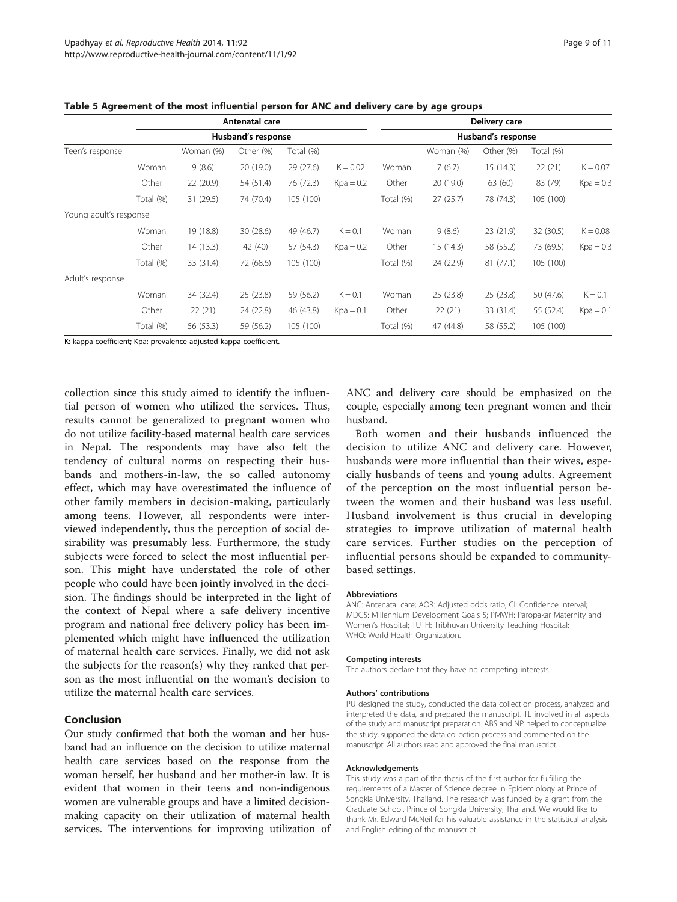|                        | Antenatal care |                    |           |           | Delivery care |                    |           |           |           |             |
|------------------------|----------------|--------------------|-----------|-----------|---------------|--------------------|-----------|-----------|-----------|-------------|
|                        |                | Husband's response |           |           |               | Husband's response |           |           |           |             |
| Teen's response        |                | Woman (%)          | Other (%) | Total (%) |               |                    | Woman (%) | Other (%) | Total (%) |             |
|                        | Woman          | 9(8.6)             | 20 (19.0) | 29(27.6)  | $K = 0.02$    | Woman              | 7(6.7)    | 15(14.3)  | 22(21)    | $K = 0.07$  |
|                        | Other          | 22(20.9)           | 54 (51.4) | 76 (72.3) | $Kpa = 0.2$   | Other              | 20(19.0)  | 63 (60)   | 83 (79)   | $Kpa = 0.3$ |
|                        | Total (%)      | 31 (29.5)          | 74 (70.4) | 105 (100) |               | Total (%)          | 27(25.7)  | 78 (74.3) | 105 (100) |             |
| Young adult's response |                |                    |           |           |               |                    |           |           |           |             |
|                        | Woman          | 19 (18.8)          | 30(28.6)  | 49 (46.7) | $K = 0.1$     | Woman              | 9(8.6)    | 23 (21.9) | 32 (30.5) | $K = 0.08$  |
|                        | Other          | 14(13.3)           | 42 (40)   | 57 (54.3) | $Kpa = 0.2$   | Other              | 15(14.3)  | 58 (55.2) | 73 (69.5) | $Kpa = 0.3$ |
|                        | Total (%)      | 33 (31.4)          | 72 (68.6) | 105 (100) |               | Total (%)          | 24 (22.9) | 81(77.1)  | 105 (100) |             |
| Adult's response       |                |                    |           |           |               |                    |           |           |           |             |
|                        | Woman          | 34 (32.4)          | 25(23.8)  | 59 (56.2) | $K = 0.1$     | Woman              | 25(23.8)  | 25(23.8)  | 50 (47.6) | $K = 0.1$   |
|                        | Other          | 22(21)             | 24 (22.8) | 46 (43.8) | $Kpa = 0.1$   | Other              | 22(21)    | 33 (31.4) | 55 (52.4) | $Kpa = 0.1$ |
|                        | Total (%)      | 56 (53.3)          | 59 (56.2) | 105 (100) |               | Total (%)          | 47 (44.8) | 58 (55.2) | 105 (100) |             |

<span id="page-8-0"></span>Table 5 Agreement of the most influential person for ANC and delivery care by age groups

K: kappa coefficient; Kpa: prevalence-adjusted kappa coefficient.

collection since this study aimed to identify the influential person of women who utilized the services. Thus, results cannot be generalized to pregnant women who do not utilize facility-based maternal health care services in Nepal. The respondents may have also felt the tendency of cultural norms on respecting their husbands and mothers-in-law, the so called autonomy effect, which may have overestimated the influence of other family members in decision-making, particularly among teens. However, all respondents were interviewed independently, thus the perception of social desirability was presumably less. Furthermore, the study subjects were forced to select the most influential person. This might have understated the role of other people who could have been jointly involved in the decision. The findings should be interpreted in the light of the context of Nepal where a safe delivery incentive program and national free delivery policy has been implemented which might have influenced the utilization of maternal health care services. Finally, we did not ask the subjects for the reason(s) why they ranked that person as the most influential on the woman's decision to utilize the maternal health care services.

#### Conclusion

Our study confirmed that both the woman and her husband had an influence on the decision to utilize maternal health care services based on the response from the woman herself, her husband and her mother-in law. It is evident that women in their teens and non-indigenous women are vulnerable groups and have a limited decisionmaking capacity on their utilization of maternal health services. The interventions for improving utilization of

ANC and delivery care should be emphasized on the couple, especially among teen pregnant women and their husband.

Both women and their husbands influenced the decision to utilize ANC and delivery care. However, husbands were more influential than their wives, especially husbands of teens and young adults. Agreement of the perception on the most influential person between the women and their husband was less useful. Husband involvement is thus crucial in developing strategies to improve utilization of maternal health care services. Further studies on the perception of influential persons should be expanded to communitybased settings.

#### Abbreviations

ANC: Antenatal care; AOR: Adjusted odds ratio; CI: Confidence interval; MDG5: Millennium Development Goals 5; PMWH: Paropakar Maternity and Women's Hospital; TUTH: Tribhuvan University Teaching Hospital; WHO: World Health Organization.

#### Competing interests

The authors declare that they have no competing interests.

#### Authors' contributions

PU designed the study, conducted the data collection process, analyzed and interpreted the data, and prepared the manuscript. TL involved in all aspects of the study and manuscript preparation. ABS and NP helped to conceptualize the study, supported the data collection process and commented on the manuscript. All authors read and approved the final manuscript.

#### Acknowledgements

This study was a part of the thesis of the first author for fulfilling the requirements of a Master of Science degree in Epidemiology at Prince of Songkla University, Thailand. The research was funded by a grant from the Graduate School, Prince of Songkla University, Thailand. We would like to thank Mr. Edward McNeil for his valuable assistance in the statistical analysis and English editing of the manuscript.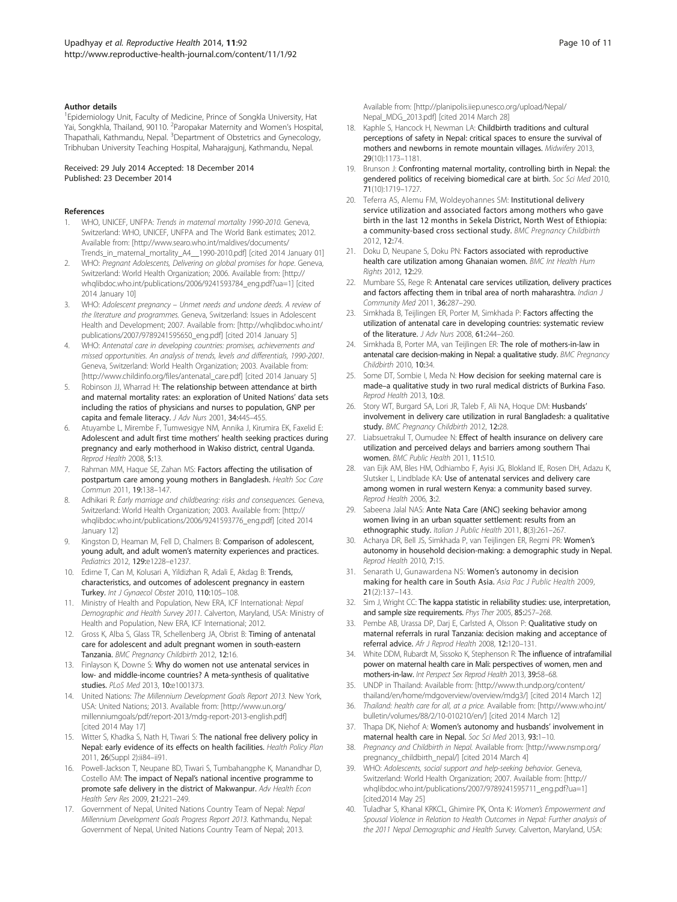#### <span id="page-9-0"></span>Author details

<sup>1</sup> Epidemiology Unit, Faculty of Medicine, Prince of Songkla University, Hat Yai, Songkhla, Thailand, 90110. <sup>2</sup>Paropakar Maternity and Women's Hospital, Thapathali, Kathmandu, Nepal. <sup>3</sup>Department of Obstetrics and Gynecology, Tribhuban University Teaching Hospital, Maharajgunj, Kathmandu, Nepal.

Received: 29 July 2014 Accepted: 18 December 2014 Published: 23 December 2014

#### References

- WHO, UNICEF, UNFPA: Trends in maternal mortality 1990-2010. Geneva, Switzerland: WHO, UNICEF, UNFPA and The World Bank estimates; 2012. Available from: [[http://www.searo.who.int/maldives/documents/](http://www.searo.who.int/maldives/documents/Trends_in_maternal_mortality_A4__1990-2010.pdf) [Trends\\_in\\_maternal\\_mortality\\_A4\\_\\_1990-2010.pdf](http://www.searo.who.int/maldives/documents/Trends_in_maternal_mortality_A4__1990-2010.pdf)] [cited 2014 January 01]
- 2. WHO: Pregnant Adolescents, Delivering on global promises for hope. Geneva, Switzerland: World Health Organization; 2006. Available from: [\[http://](http://whqlibdoc.who.int/publications/2006/9241593784_eng.pdf?ua=1) [whqlibdoc.who.int/publications/2006/9241593784\\_eng.pdf?ua=1\]](http://whqlibdoc.who.int/publications/2006/9241593784_eng.pdf?ua=1) [cited 2014 January 10]
- 3. WHO: Adolescent pregnancy Unmet needs and undone deeds. A review of the literature and programmes. Geneva, Switzerland: Issues in Adolescent Health and Development; 2007. Available from: [[http://whqlibdoc.who.int/](http://whqlibdoc.who.int/publications/2007/9789241595650_eng.pdf) [publications/2007/9789241595650\\_eng.pdf](http://whqlibdoc.who.int/publications/2007/9789241595650_eng.pdf)] [cited 2014 January 5]
- WHO: Antenatal care in developing countries: promises, achievements and missed opportunities. An analysis of trends, levels and differentials, 1990-2001. Geneva, Switzerland: World Health Organization; 2003. Available from: [[http://www.childinfo.org/files/antenatal\\_care.pdf\]](http://www.childinfo.org/files/antenatal_care.pdf) [cited 2014 January 5]
- 5. Robinson JJ, Wharrad H: The relationship between attendance at birth and maternal mortality rates: an exploration of United Nations' data sets including the ratios of physicians and nurses to population, GNP per capita and female literacy. J Adv Nurs 2001, 34:445–455.
- 6. Atuyambe L, Mirembe F, Tumwesigye NM, Annika J, Kirumira EK, Faxelid E: Adolescent and adult first time mothers' health seeking practices during pregnancy and early motherhood in Wakiso district, central Uganda. Reprod Health 2008, 5:13.
- 7. Rahman MM, Haque SE, Zahan MS: Factors affecting the utilisation of postpartum care among young mothers in Bangladesh. Health Soc Care Commun 2011, 19:138–147.
- Adhikari R: Early marriage and childbearing: risks and consequences. Geneva, Switzerland: World Health Organization; 2003. Available from: [\[http://](http://whqlibdoc.who.int/publications/2006/9241593776_eng.pdf) [whqlibdoc.who.int/publications/2006/9241593776\\_eng.pdf\]](http://whqlibdoc.who.int/publications/2006/9241593776_eng.pdf) [cited 2014 January 12]
- 9. Kingston D, Heaman M, Fell D, Chalmers B: Comparison of adolescent, young adult, and adult women's maternity experiences and practices. Pediatrics 2012, 129:e1228–e1237.
- 10. Edirne T, Can M, Kolusari A, Yildizhan R, Adali E, Akdag B: Trends, characteristics, and outcomes of adolescent pregnancy in eastern Turkey. Int J Gynaecol Obstet 2010, 110:105–108.
- 11. Ministry of Health and Population, New ERA, ICF International: Nepal Demographic and Health Survey 2011. Calverton, Maryland, USA: Ministry of Health and Population, New ERA, ICF International; 2012.
- 12. Gross K, Alba S, Glass TR, Schellenberg JA, Obrist B: Timing of antenatal care for adolescent and adult pregnant women in south-eastern Tanzania. BMC Pregnancy Childbirth 2012, 12:16.
- 13. Finlayson K, Downe S: Why do women not use antenatal services in low- and middle-income countries? A meta-synthesis of qualitative studies. PLoS Med 2013, 10:e1001373.
- 14. United Nations: The Millennium Development Goals Report 2013. New York, USA: United Nations; 2013. Available from: [\[http://www.un.org/](http://www.un.org/millenniumgoals/pdf/report-2013/mdg-report-2013-english.pdf) [millenniumgoals/pdf/report-2013/mdg-report-2013-english.pdf\]](http://www.un.org/millenniumgoals/pdf/report-2013/mdg-report-2013-english.pdf) [cited 2014 May 17]
- 15. Witter S, Khadka S, Nath H, Tiwari S: The national free delivery policy in Nepal: early evidence of its effects on health facilities. Health Policy Plan 2011, 26(Suppl 2):ii84–ii91.
- 16. Powell-Jackson T, Neupane BD, Tiwari S, Tumbahangphe K, Manandhar D, Costello AM: The impact of Nepal's national incentive programme to promote safe delivery in the district of Makwanpur. Adv Health Econ Health Serv Res 2009, 21:221–249.
- 17. Government of Nepal, United Nations Country Team of Nepal: Nepal Millennium Development Goals Progress Report 2013. Kathmandu, Nepal: Government of Nepal, United Nations Country Team of Nepal; 2013.

Available from: [[http://planipolis.iiep.unesco.org/upload/Nepal/](http://planipolis.iiep.unesco.org/upload/Nepal/Nepal_MDG_2013.pdf) [Nepal\\_MDG\\_2013.pdf](http://planipolis.iiep.unesco.org/upload/Nepal/Nepal_MDG_2013.pdf)] [cited 2014 March 28]

- 18. Kaphle S, Hancock H, Newman LA: Childbirth traditions and cultural perceptions of safety in Nepal: critical spaces to ensure the survival of mothers and newborns in remote mountain villages. Midwifery 2013, 29(10):1173–1181.
- 19. Brunson J: Confronting maternal mortality, controlling birth in Nepal: the gendered politics of receiving biomedical care at birth. Soc Sci Med 2010, 71(10):1719–1727.
- 20. Teferra AS, Alemu FM, Woldeyohannes SM: Institutional delivery service utilization and associated factors among mothers who gave birth in the last 12 months in Sekela District, North West of Ethiopia: a community-based cross sectional study. BMC Pregnancy Childbirth 2012, 12:74.
- 21. Doku D, Neupane S, Doku PN: Factors associated with reproductive health care utilization among Ghanaian women. BMC Int Health Hum Rights 2012, 12:29.
- 22. Mumbare SS, Rege R: Antenatal care services utilization, delivery practices and factors affecting them in tribal area of north maharashtra. Indian J Community Med 2011, 36:287–290.
- 23. Simkhada B, Teijlingen ER, Porter M, Simkhada P: Factors affecting the utilization of antenatal care in developing countries: systematic review of the literature. J Adv Nurs 2008, 61:244–260.
- 24. Simkhada B, Porter MA, van Teijlingen ER: The role of mothers-in-law in antenatal care decision-making in Nepal: a qualitative study. BMC Pregnancy Childbirth 2010, 10:34.
- 25. Some DT, Sombie I, Meda N: How decision for seeking maternal care is made–a qualitative study in two rural medical districts of Burkina Faso. Reprod Health 2013, 10:8.
- 26. Story WT, Burgard SA, Lori JR, Taleb F, Ali NA, Hoque DM: Husbands' involvement in delivery care utilization in rural Bangladesh: a qualitative study. BMC Pregnancy Childbirth 2012, 12:28.
- 27. Liabsuetrakul T, Oumudee N: Effect of health insurance on delivery care utilization and perceived delays and barriers among southern Thai women. BMC Public Health 2011, 11:510.
- 28. van Eijk AM, Bles HM, Odhiambo F, Ayisi JG, Blokland IE, Rosen DH, Adazu K, Slutsker L, Lindblade KA: Use of antenatal services and delivery care among women in rural western Kenya: a community based survey. Reprod Health 2006, 3:2.
- 29. Sabeena Jalal NAS: Ante Nata Care (ANC) seeking behavior among women living in an urban squatter settlement: results from an ethnographic study. Italian J Public Health 2011, 8(3):261-267.
- Acharya DR, Bell JS, Simkhada P, van Teijlingen ER, Regmi PR: Women's autonomy in household decision-making: a demographic study in Nepal. Reprod Health 2010, 7:15.
- 31. Senarath U, Gunawardena NS: Women's autonomy in decision making for health care in South Asia. Asia Pac J Public Health 2009, 21(2):137–143.
- 32. Sim J, Wright CC: The kappa statistic in reliability studies: use, interpretation, and sample size requirements. Phys Ther 2005, 85:257–268.
- 33. Pembe AB, Urassa DP, Darj E, Carlsted A, Olsson P: Qualitative study on maternal referrals in rural Tanzania: decision making and acceptance of referral advice. Afr J Reprod Health 2008, 12:120–131.
- 34. White DDM, Rubardt M, Sissoko K, Stephenson R: The influence of intrafamilial power on maternal health care in Mali: perspectives of women, men and mothers-in-law. Int Perspect Sex Reprod Health 2013, 39:58–68.
- 35. UNDP in Thailand: Available from: [\[http://www.th.undp.org/content/](http://www.th.undp.org/content/thailand/en/home/mdgoverview/overview/mdg3/) [thailand/en/home/mdgoverview/overview/mdg3/\]](http://www.th.undp.org/content/thailand/en/home/mdgoverview/overview/mdg3/) [cited 2014 March 12]
- 36. Thailand: health care for all, at a price. Available from: [\[http://www.who.int/](http://www.who.int/bulletin/volumes/88/2/10-010210/en/) [bulletin/volumes/88/2/10-010210/en/\]](http://www.who.int/bulletin/volumes/88/2/10-010210/en/) [cited 2014 March 12]
- Thapa DK, Niehof A: Women's autonomy and husbands' involvement in maternal health care in Nepal. Soc Sci Med 2013, 93:1–10.
- 38. Pregnancy and Childbirth in Nepal. Available from: [[http://www.nsmp.org/](http://www.nsmp.org/pregnancy_childbirth_nepal/) [pregnancy\\_childbirth\\_nepal/](http://www.nsmp.org/pregnancy_childbirth_nepal/)] [cited 2014 March 4]
- 39. WHO: Adolescents, social support and help-seeking behavior. Geneva, Switzerland: World Health Organization; 2007. Available from: [\[http://](http://whqlibdoc.who.int/publications/2007/9789241595711_eng.pdf?ua=1) [whqlibdoc.who.int/publications/2007/9789241595711\\_eng.pdf?ua=1\]](http://whqlibdoc.who.int/publications/2007/9789241595711_eng.pdf?ua=1) [cited2014 May 25]
- 40. Tuladhar S, Khanal KRKCL, Ghimire PK, Onta K: Women's Empowerment and Spousal Violence in Relation to Health Outcomes in Nepal: Further analysis of the 2011 Nepal Demographic and Health Survey. Calverton, Maryland, USA: